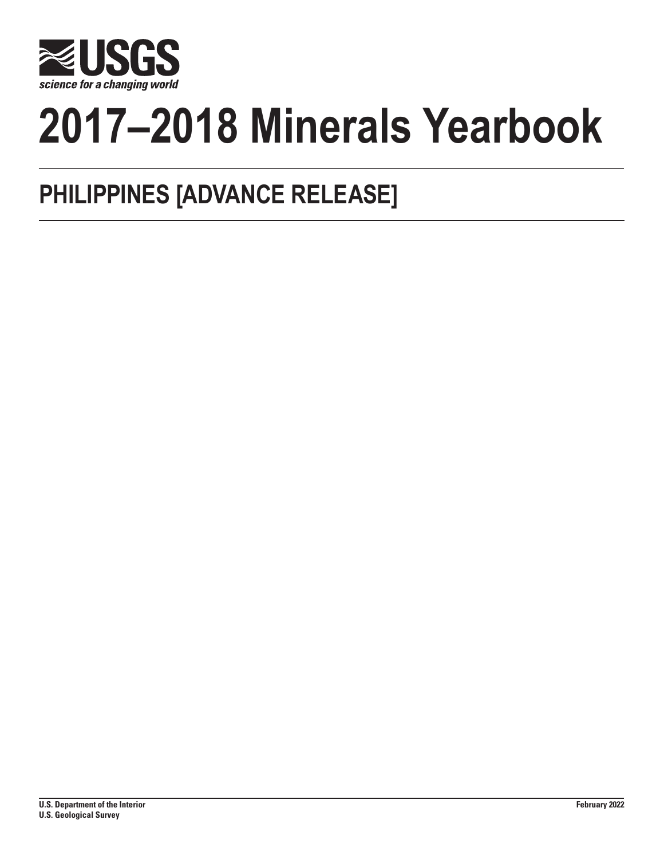

# **2017–2018 Minerals Yearbook**

## **PHILIPPINES [ADVANCE RELEASE]**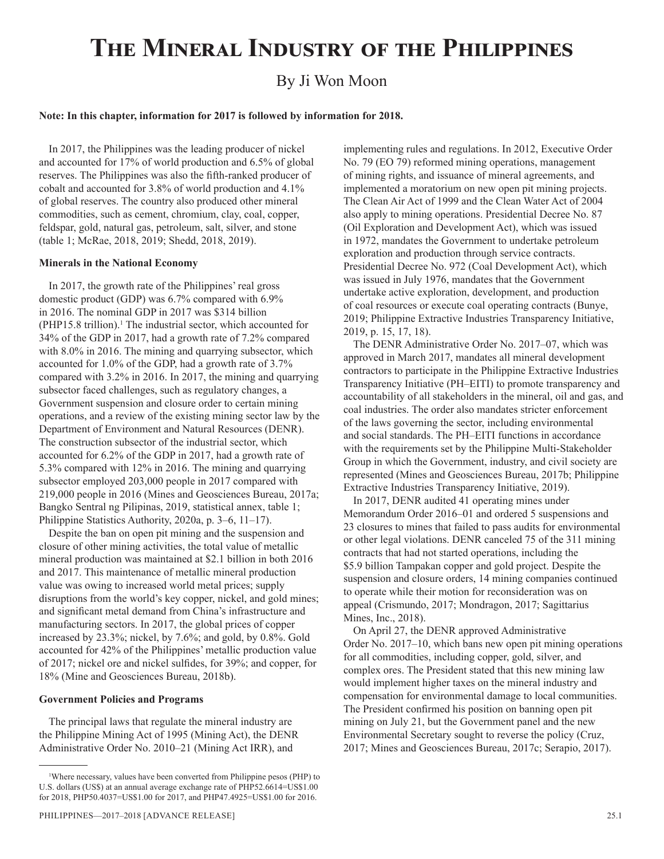## **The Mineral Industry of the Philippines**

### By Ji Won Moon

#### **Note: In this chapter, information for 2017 is followed by information for 2018.**

In 2017, the Philippines was the leading producer of nickel and accounted for 17% of world production and 6.5% of global reserves. The Philippines was also the fifth-ranked producer of cobalt and accounted for 3.8% of world production and 4.1% of global reserves. The country also produced other mineral commodities, such as cement, chromium, clay, coal, copper, feldspar, gold, natural gas, petroleum, salt, silver, and stone (table 1; McRae, 2018, 2019; Shedd, 2018, 2019).

#### **Minerals in the National Economy**

In 2017, the growth rate of the Philippines' real gross domestic product (GDP) was 6.7% compared with 6.9% in 2016. The nominal GDP in 2017 was \$314 billion  $(PHP15.8$  trillion).<sup>1</sup> The industrial sector, which accounted for 34% of the GDP in 2017, had a growth rate of 7.2% compared with 8.0% in 2016. The mining and quarrying subsector, which accounted for 1.0% of the GDP, had a growth rate of 3.7% compared with 3.2% in 2016. In 2017, the mining and quarrying subsector faced challenges, such as regulatory changes, a Government suspension and closure order to certain mining operations, and a review of the existing mining sector law by the Department of Environment and Natural Resources (DENR). The construction subsector of the industrial sector, which accounted for 6.2% of the GDP in 2017, had a growth rate of 5.3% compared with 12% in 2016. The mining and quarrying subsector employed 203,000 people in 2017 compared with 219,000 people in 2016 (Mines and Geosciences Bureau, 2017a; Bangko Sentral ng Pilipinas, 2019, statistical annex, table 1; Philippine Statistics Authority, 2020a, p. 3–6, 11–17).

Despite the ban on open pit mining and the suspension and closure of other mining activities, the total value of metallic mineral production was maintained at \$2.1 billion in both 2016 and 2017. This maintenance of metallic mineral production value was owing to increased world metal prices; supply disruptions from the world's key copper, nickel, and gold mines; and significant metal demand from China's infrastructure and manufacturing sectors. In 2017, the global prices of copper increased by 23.3%; nickel, by 7.6%; and gold, by 0.8%. Gold accounted for 42% of the Philippines' metallic production value of 2017; nickel ore and nickel sulfides, for 39%; and copper, for 18% (Mine and Geosciences Bureau, 2018b).

#### **Government Policies and Programs**

The principal laws that regulate the mineral industry are the Philippine Mining Act of 1995 (Mining Act), the DENR Administrative Order No. 2010–21 (Mining Act IRR), and

implementing rules and regulations. In 2012, Executive Order No. 79 (EO 79) reformed mining operations, management of mining rights, and issuance of mineral agreements, and implemented a moratorium on new open pit mining projects. The Clean Air Act of 1999 and the Clean Water Act of 2004 also apply to mining operations. Presidential Decree No. 87 (Oil Exploration and Development Act), which was issued in 1972, mandates the Government to undertake petroleum exploration and production through service contracts. Presidential Decree No. 972 (Coal Development Act), which was issued in July 1976, mandates that the Government undertake active exploration, development, and production of coal resources or execute coal operating contracts (Bunye, 2019; Philippine Extractive Industries Transparency Initiative, 2019, p. 15, 17, 18).

The DENR Administrative Order No. 2017–07, which was approved in March 2017, mandates all mineral development contractors to participate in the Philippine Extractive Industries Transparency Initiative (PH–EITI) to promote transparency and accountability of all stakeholders in the mineral, oil and gas, and coal industries. The order also mandates stricter enforcement of the laws governing the sector, including environmental and social standards. The PH–EITI functions in accordance with the requirements set by the Philippine Multi-Stakeholder Group in which the Government, industry, and civil society are represented (Mines and Geosciences Bureau, 2017b; Philippine Extractive Industries Transparency Initiative, 2019).

In 2017, DENR audited 41 operating mines under Memorandum Order 2016–01 and ordered 5 suspensions and 23 closures to mines that failed to pass audits for environmental or other legal violations. DENR canceled 75 of the 311 mining contracts that had not started operations, including the \$5.9 billion Tampakan copper and gold project. Despite the suspension and closure orders, 14 mining companies continued to operate while their motion for reconsideration was on appeal (Crismundo, 2017; Mondragon, 2017; Sagittarius Mines, Inc., 2018).

On April 27, the DENR approved Administrative Order No. 2017–10, which bans new open pit mining operations for all commodities, including copper, gold, silver, and complex ores. The President stated that this new mining law would implement higher taxes on the mineral industry and compensation for environmental damage to local communities. The President confirmed his position on banning open pit mining on July 21, but the Government panel and the new Environmental Secretary sought to reverse the policy (Cruz, 2017; Mines and Geosciences Bureau, 2017c; Serapio, 2017).

<sup>1</sup> Where necessary, values have been converted from Philippine pesos (PHP) to U.S. dollars (US\$) at an annual average exchange rate of PHP52.6614=US\$1.00 for 2018, PHP50.4037=US\$1.00 for 2017, and PHP47.4925=US\$1.00 for 2016.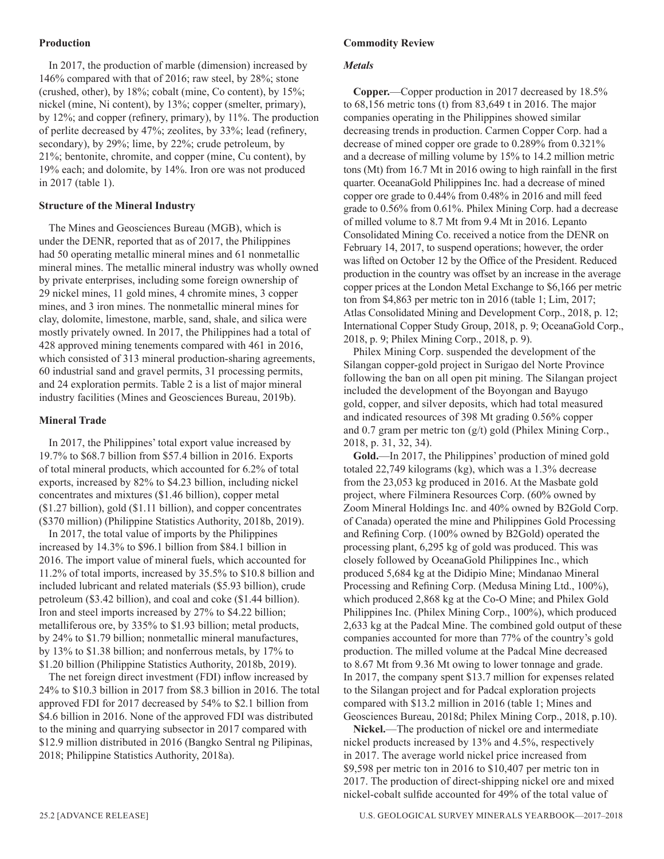#### **Production**

In 2017, the production of marble (dimension) increased by 146% compared with that of 2016; raw steel, by 28%; stone (crushed, other), by 18%; cobalt (mine, Co content), by 15%; nickel (mine, Ni content), by 13%; copper (smelter, primary), by 12%; and copper (refinery, primary), by 11%. The production of perlite decreased by 47%; zeolites, by 33%; lead (refinery, secondary), by 29%; lime, by 22%; crude petroleum, by 21%; bentonite, chromite, and copper (mine, Cu content), by 19% each; and dolomite, by 14%. Iron ore was not produced in 2017 (table 1).

#### **Structure of the Mineral Industry**

The Mines and Geosciences Bureau (MGB), which is under the DENR, reported that as of 2017, the Philippines had 50 operating metallic mineral mines and 61 nonmetallic mineral mines. The metallic mineral industry was wholly owned by private enterprises, including some foreign ownership of 29 nickel mines, 11 gold mines, 4 chromite mines, 3 copper mines, and 3 iron mines. The nonmetallic mineral mines for clay, dolomite, limestone, marble, sand, shale, and silica were mostly privately owned. In 2017, the Philippines had a total of 428 approved mining tenements compared with 461 in 2016, which consisted of 313 mineral production-sharing agreements, 60 industrial sand and gravel permits, 31 processing permits, and 24 exploration permits. Table 2 is a list of major mineral industry facilities (Mines and Geosciences Bureau, 2019b).

#### **Mineral Trade**

In 2017, the Philippines' total export value increased by 19.7% to \$68.7 billion from \$57.4 billion in 2016. Exports of total mineral products, which accounted for 6.2% of total exports, increased by 82% to \$4.23 billion, including nickel concentrates and mixtures (\$1.46 billion), copper metal (\$1.27 billion), gold (\$1.11 billion), and copper concentrates (\$370 million) (Philippine Statistics Authority, 2018b, 2019).

In 2017, the total value of imports by the Philippines increased by 14.3% to \$96.1 billion from \$84.1 billion in 2016. The import value of mineral fuels, which accounted for 11.2% of total imports, increased by 35.5% to \$10.8 billion and included lubricant and related materials (\$5.93 billion), crude petroleum (\$3.42 billion), and coal and coke (\$1.44 billion). Iron and steel imports increased by 27% to \$4.22 billion; metalliferous ore, by 335% to \$1.93 billion; metal products, by 24% to \$1.79 billion; nonmetallic mineral manufactures, by 13% to \$1.38 billion; and nonferrous metals, by 17% to \$1.20 billion (Philippine Statistics Authority, 2018b, 2019).

The net foreign direct investment (FDI) inflow increased by 24% to \$10.3 billion in 2017 from \$8.3 billion in 2016. The total approved FDI for 2017 decreased by 54% to \$2.1 billion from \$4.6 billion in 2016. None of the approved FDI was distributed to the mining and quarrying subsector in 2017 compared with \$12.9 million distributed in 2016 (Bangko Sentral ng Pilipinas, 2018; Philippine Statistics Authority, 2018a).

#### **Commodity Review**

#### *Metals*

**Copper.**—Copper production in 2017 decreased by 18.5% to 68,156 metric tons (t) from 83,649 t in 2016. The major companies operating in the Philippines showed similar decreasing trends in production. Carmen Copper Corp. had a decrease of mined copper ore grade to 0.289% from 0.321% and a decrease of milling volume by 15% to 14.2 million metric tons (Mt) from 16.7 Mt in 2016 owing to high rainfall in the first quarter. OceanaGold Philippines Inc. had a decrease of mined copper ore grade to 0.44% from 0.48% in 2016 and mill feed grade to 0.56% from 0.61%. Philex Mining Corp. had a decrease of milled volume to 8.7 Mt from 9.4 Mt in 2016. Lepanto Consolidated Mining Co. received a notice from the DENR on February 14, 2017, to suspend operations; however, the order was lifted on October 12 by the Office of the President. Reduced production in the country was offset by an increase in the average copper prices at the London Metal Exchange to \$6,166 per metric ton from \$4,863 per metric ton in 2016 (table 1; Lim, 2017; Atlas Consolidated Mining and Development Corp., 2018, p. 12; International Copper Study Group, 2018, p. 9; OceanaGold Corp., 2018, p. 9; Philex Mining Corp., 2018, p. 9).

Philex Mining Corp. suspended the development of the Silangan copper-gold project in Surigao del Norte Province following the ban on all open pit mining. The Silangan project included the development of the Boyongan and Bayugo gold, copper, and silver deposits, which had total measured and indicated resources of 398 Mt grading 0.56% copper and 0.7 gram per metric ton (g/t) gold (Philex Mining Corp., 2018, p. 31, 32, 34).

**Gold.**—In 2017, the Philippines' production of mined gold totaled 22,749 kilograms (kg), which was a 1.3% decrease from the 23,053 kg produced in 2016. At the Masbate gold project, where Filminera Resources Corp. (60% owned by Zoom Mineral Holdings Inc. and 40% owned by B2Gold Corp. of Canada) operated the mine and Philippines Gold Processing and Refining Corp. (100% owned by B2Gold) operated the processing plant, 6,295 kg of gold was produced. This was closely followed by OceanaGold Philippines Inc., which produced 5,684 kg at the Didipio Mine; Mindanao Mineral Processing and Refining Corp. (Medusa Mining Ltd., 100%), which produced 2,868 kg at the Co-O Mine; and Philex Gold Philippines Inc. (Philex Mining Corp., 100%), which produced 2,633 kg at the Padcal Mine. The combined gold output of these companies accounted for more than 77% of the country's gold production. The milled volume at the Padcal Mine decreased to 8.67 Mt from 9.36 Mt owing to lower tonnage and grade. In 2017, the company spent \$13.7 million for expenses related to the Silangan project and for Padcal exploration projects compared with \$13.2 million in 2016 (table 1; Mines and Geosciences Bureau, 2018d; Philex Mining Corp., 2018, p.10).

**Nickel.**—The production of nickel ore and intermediate nickel products increased by 13% and 4.5%, respectively in 2017. The average world nickel price increased from \$9,598 per metric ton in 2016 to \$10,407 per metric ton in 2017. The production of direct-shipping nickel ore and mixed nickel-cobalt sulfide accounted for 49% of the total value of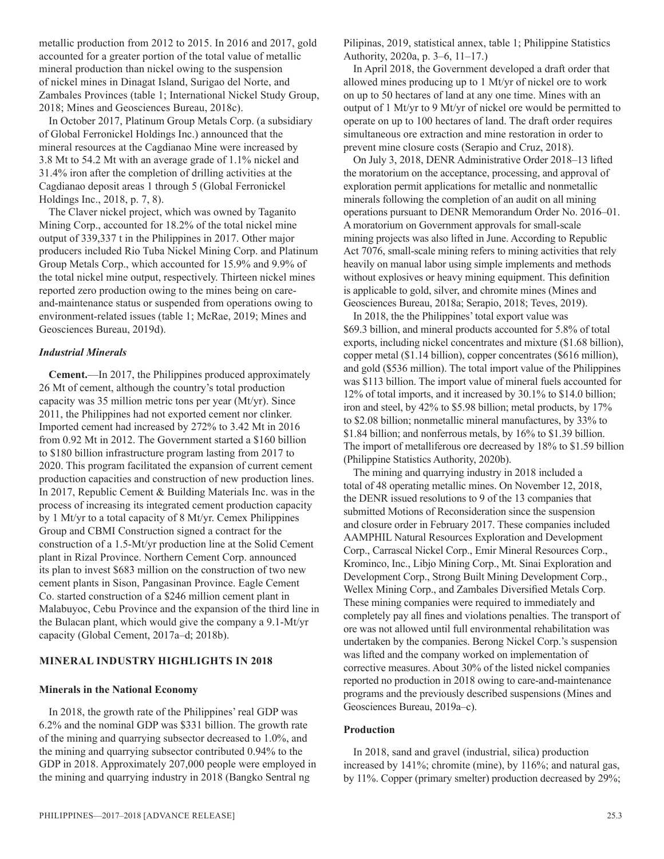metallic production from 2012 to 2015. In 2016 and 2017, gold accounted for a greater portion of the total value of metallic mineral production than nickel owing to the suspension of nickel mines in Dinagat Island, Surigao del Norte, and Zambales Provinces (table 1; International Nickel Study Group, 2018; Mines and Geosciences Bureau, 2018c).

In October 2017, Platinum Group Metals Corp. (a subsidiary of Global Ferronickel Holdings Inc.) announced that the mineral resources at the Cagdianao Mine were increased by 3.8 Mt to 54.2 Mt with an average grade of 1.1% nickel and 31.4% iron after the completion of drilling activities at the Cagdianao deposit areas 1 through 5 (Global Ferronickel Holdings Inc., 2018, p. 7, 8).

The Claver nickel project, which was owned by Taganito Mining Corp., accounted for 18.2% of the total nickel mine output of 339,337 t in the Philippines in 2017. Other major producers included Rio Tuba Nickel Mining Corp. and Platinum Group Metals Corp., which accounted for 15.9% and 9.9% of the total nickel mine output, respectively. Thirteen nickel mines reported zero production owing to the mines being on careand-maintenance status or suspended from operations owing to environment-related issues (table 1; McRae, 2019; Mines and Geosciences Bureau, 2019d).

#### *Industrial Minerals*

**Cement.**—In 2017, the Philippines produced approximately 26 Mt of cement, although the country's total production capacity was 35 million metric tons per year (Mt/yr). Since 2011, the Philippines had not exported cement nor clinker. Imported cement had increased by 272% to 3.42 Mt in 2016 from 0.92 Mt in 2012. The Government started a \$160 billion to \$180 billion infrastructure program lasting from 2017 to 2020. This program facilitated the expansion of current cement production capacities and construction of new production lines. In 2017, Republic Cement & Building Materials Inc. was in the process of increasing its integrated cement production capacity by 1 Mt/yr to a total capacity of 8 Mt/yr. Cemex Philippines Group and CBMI Construction signed a contract for the construction of a 1.5-Mt/yr production line at the Solid Cement plant in Rizal Province. Northern Cement Corp. announced its plan to invest \$683 million on the construction of two new cement plants in Sison, Pangasinan Province. Eagle Cement Co. started construction of a \$246 million cement plant in Malabuyoc, Cebu Province and the expansion of the third line in the Bulacan plant, which would give the company a 9.1-Mt/yr capacity (Global Cement, 2017a–d; 2018b).

#### **MINERAL INDUSTRY HIGHLIGHTS IN 2018**

#### **Minerals in the National Economy**

In 2018, the growth rate of the Philippines' real GDP was 6.2% and the nominal GDP was \$331 billion. The growth rate of the mining and quarrying subsector decreased to 1.0%, and the mining and quarrying subsector contributed 0.94% to the GDP in 2018. Approximately 207,000 people were employed in the mining and quarrying industry in 2018 (Bangko Sentral ng

Pilipinas, 2019, statistical annex, table 1; Philippine Statistics Authority, 2020a, p. 3–6, 11–17.)

In April 2018, the Government developed a draft order that allowed mines producing up to 1 Mt/yr of nickel ore to work on up to 50 hectares of land at any one time. Mines with an output of 1 Mt/yr to 9 Mt/yr of nickel ore would be permitted to operate on up to 100 hectares of land. The draft order requires simultaneous ore extraction and mine restoration in order to prevent mine closure costs (Serapio and Cruz, 2018).

On July 3, 2018, DENR Administrative Order 2018–13 lifted the moratorium on the acceptance, processing, and approval of exploration permit applications for metallic and nonmetallic minerals following the completion of an audit on all mining operations pursuant to DENR Memorandum Order No. 2016–01. A moratorium on Government approvals for small-scale mining projects was also lifted in June. According to Republic Act 7076, small-scale mining refers to mining activities that rely heavily on manual labor using simple implements and methods without explosives or heavy mining equipment. This definition is applicable to gold, silver, and chromite mines (Mines and Geosciences Bureau, 2018a; Serapio, 2018; Teves, 2019).

In 2018, the the Philippines' total export value was \$69.3 billion, and mineral products accounted for 5.8% of total exports, including nickel concentrates and mixture (\$1.68 billion), copper metal (\$1.14 billion), copper concentrates (\$616 million), and gold (\$536 million). The total import value of the Philippines was \$113 billion. The import value of mineral fuels accounted for 12% of total imports, and it increased by 30.1% to \$14.0 billion; iron and steel, by 42% to \$5.98 billion; metal products, by 17% to \$2.08 billion; nonmetallic mineral manufactures, by 33% to \$1.84 billion; and nonferrous metals, by 16% to \$1.39 billion. The import of metalliferous ore decreased by 18% to \$1.59 billion (Philippine Statistics Authority, 2020b).

The mining and quarrying industry in 2018 included a total of 48 operating metallic mines. On November 12, 2018, the DENR issued resolutions to 9 of the 13 companies that submitted Motions of Reconsideration since the suspension and closure order in February 2017. These companies included AAMPHIL Natural Resources Exploration and Development Corp., Carrascal Nickel Corp., Emir Mineral Resources Corp., Krominco, Inc., Libjo Mining Corp., Mt. Sinai Exploration and Development Corp., Strong Built Mining Development Corp., Wellex Mining Corp., and Zambales Diversified Metals Corp. These mining companies were required to immediately and completely pay all fines and violations penalties. The transport of ore was not allowed until full environmental rehabilitation was undertaken by the companies. Berong Nickel Corp.'s suspension was lifted and the company worked on implementation of corrective measures. About 30% of the listed nickel companies reported no production in 2018 owing to care-and-maintenance programs and the previously described suspensions (Mines and Geosciences Bureau, 2019a–c).

#### **Production**

In 2018, sand and gravel (industrial, silica) production increased by 141%; chromite (mine), by 116%; and natural gas, by 11%. Copper (primary smelter) production decreased by 29%;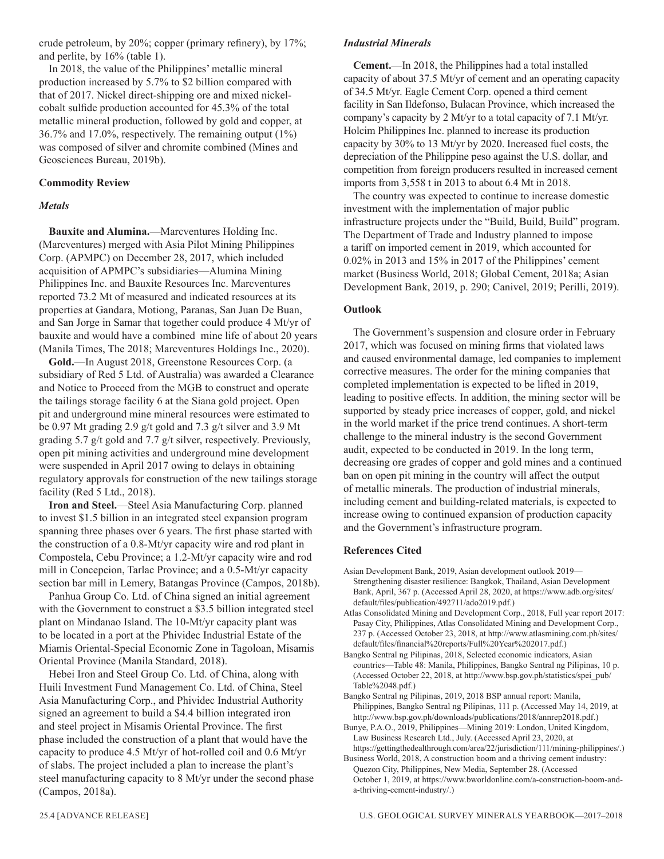crude petroleum, by 20%; copper (primary refinery), by 17%; and perlite, by 16% (table 1).

In 2018, the value of the Philippines' metallic mineral production increased by 5.7% to \$2 billion compared with that of 2017. Nickel direct-shipping ore and mixed nickelcobalt sulfide production accounted for 45.3% of the total metallic mineral production, followed by gold and copper, at 36.7% and 17.0%, respectively. The remaining output (1%) was composed of silver and chromite combined (Mines and Geosciences Bureau, 2019b).

#### **Commodity Review**

#### *Metals*

**Bauxite and Alumina.**—Marcventures Holding Inc. (Marcventures) merged with Asia Pilot Mining Philippines Corp. (APMPC) on December 28, 2017, which included acquisition of APMPC's subsidiaries—Alumina Mining Philippines Inc. and Bauxite Resources Inc. Marcventures reported 73.2 Mt of measured and indicated resources at its properties at Gandara, Motiong, Paranas, San Juan De Buan, and San Jorge in Samar that together could produce 4 Mt/yr of bauxite and would have a combined mine life of about 20 years (Manila Times, The 2018; Marcventures Holdings Inc., 2020).

**Gold.**—In August 2018, Greenstone Resources Corp. (a subsidiary of Red 5 Ltd. of Australia) was awarded a Clearance and Notice to Proceed from the MGB to construct and operate the tailings storage facility 6 at the Siana gold project. Open pit and underground mine mineral resources were estimated to be 0.97 Mt grading 2.9 g/t gold and 7.3 g/t silver and 3.9 Mt grading 5.7 g/t gold and 7.7 g/t silver, respectively. Previously, open pit mining activities and underground mine development were suspended in April 2017 owing to delays in obtaining regulatory approvals for construction of the new tailings storage facility (Red 5 Ltd., 2018).

**Iron and Steel.**—Steel Asia Manufacturing Corp. planned to invest \$1.5 billion in an integrated steel expansion program spanning three phases over 6 years. The first phase started with the construction of a 0.8-Mt/yr capacity wire and rod plant in Compostela, Cebu Province; a 1.2-Mt/yr capacity wire and rod mill in Concepcion, Tarlac Province; and a 0.5-Mt/yr capacity section bar mill in Lemery, Batangas Province (Campos, 2018b).

Panhua Group Co. Ltd. of China signed an initial agreement with the Government to construct a \$3.5 billion integrated steel plant on Mindanao Island. The 10-Mt/yr capacity plant was to be located in a port at the Phividec Industrial Estate of the Miamis Oriental-Special Economic Zone in Tagoloan, Misamis Oriental Province (Manila Standard, 2018).

Hebei Iron and Steel Group Co. Ltd. of China, along with Huili Investment Fund Management Co. Ltd. of China, Steel Asia Manufacturing Corp., and Phividec Industrial Authority signed an agreement to build a \$4.4 billion integrated iron and steel project in Misamis Oriental Province. The first phase included the construction of a plant that would have the capacity to produce 4.5 Mt/yr of hot-rolled coil and 0.6 Mt/yr of slabs. The project included a plan to increase the plant's steel manufacturing capacity to 8 Mt/yr under the second phase (Campos, 2018a).

#### *Industrial Minerals*

**Cement.**—In 2018, the Philippines had a total installed capacity of about 37.5 Mt/yr of cement and an operating capacity of 34.5 Mt/yr. Eagle Cement Corp. opened a third cement facility in San Ildefonso, Bulacan Province, which increased the company's capacity by 2 Mt/yr to a total capacity of 7.1 Mt/yr. Holcim Philippines Inc. planned to increase its production capacity by 30% to 13 Mt/yr by 2020. Increased fuel costs, the depreciation of the Philippine peso against the U.S. dollar, and competition from foreign producers resulted in increased cement imports from 3,558 t in 2013 to about 6.4 Mt in 2018.

The country was expected to continue to increase domestic investment with the implementation of major public infrastructure projects under the "Build, Build, Build" program. The Department of Trade and Industry planned to impose a tariff on imported cement in 2019, which accounted for 0.02% in 2013 and 15% in 2017 of the Philippines' cement market (Business World, 2018; Global Cement, 2018a; Asian Development Bank, 2019, p. 290; Canivel, 2019; Perilli, 2019).

#### **Outlook**

The Government's suspension and closure order in February 2017, which was focused on mining firms that violated laws and caused environmental damage, led companies to implement corrective measures. The order for the mining companies that completed implementation is expected to be lifted in 2019, leading to positive effects. In addition, the mining sector will be supported by steady price increases of copper, gold, and nickel in the world market if the price trend continues. A short-term challenge to the mineral industry is the second Government audit, expected to be conducted in 2019. In the long term, decreasing ore grades of copper and gold mines and a continued ban on open pit mining in the country will affect the output of metallic minerals. The production of industrial minerals, including cement and building-related materials, is expected to increase owing to continued expansion of production capacity and the Government's infrastructure program.

#### **References Cited**

- Asian Development Bank, 2019, Asian development outlook 2019— Strengthening disaster resilience: Bangkok, Thailand, Asian Development Bank, April, 367 p. (Accessed April 28, 2020, at https://www.adb.org/sites/ default/files/publication/492711/ado2019.pdf.)
- Atlas Consolidated Mining and Development Corp., 2018, Full year report 2017: Pasay City, Philippines, Atlas Consolidated Mining and Development Corp., 237 p. (Accessed October 23, 2018, at http://www.atlasmining.com.ph/sites/ default/files/financial%20reports/Full%20Year%202017.pdf.)
- Bangko Sentral ng Pilipinas, 2018, Selected economic indicators, Asian countries—Table 48: Manila, Philippines, Bangko Sentral ng Pilipinas, 10 p. (Accessed October 22, 2018, at http://www.bsp.gov.ph/statistics/spei\_pub/ Table%2048.pdf.)
- Bangko Sentral ng Pilipinas, 2019, 2018 BSP annual report: Manila, Philippines, Bangko Sentral ng Pilipinas, 111 p. (Accessed May 14, 2019, at http://www.bsp.gov.ph/downloads/publications/2018/annrep2018.pdf.)
- Bunye, P.A.O., 2019, Philippines—Mining 2019: London, United Kingdom, Law Business Research Ltd., July. (Accessed April 23, 2020, at https://gettingthedealthrough.com/area/22/jurisdiction/111/mining-philippines/.)

Business World, 2018, A construction boom and a thriving cement industry: Quezon City, Philippines, New Media, September 28. (Accessed October 1, 2019, at https://www.bworldonline.com/a-construction-boom-anda-thriving-cement-industry/.)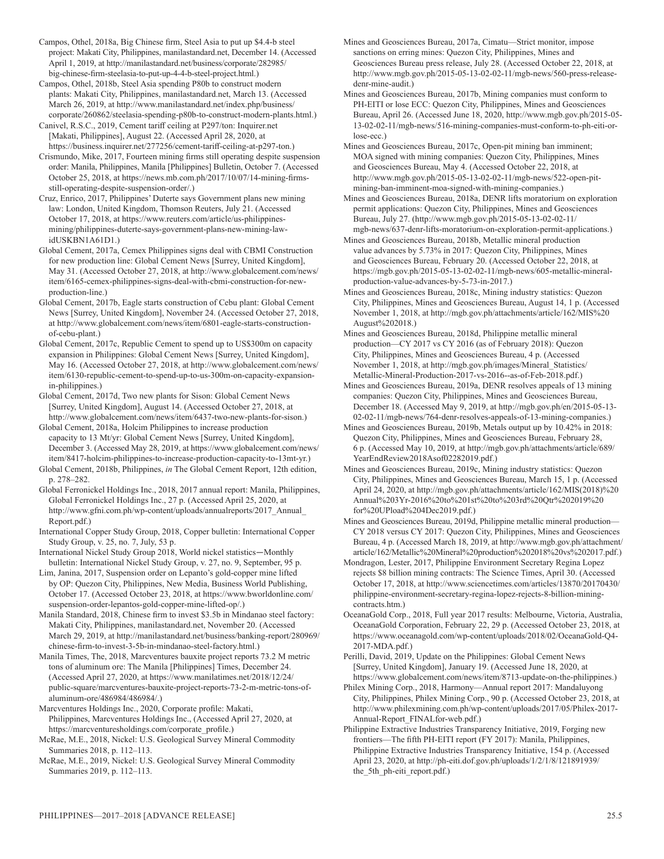Campos, Othel, 2018a, Big Chinese firm, Steel Asia to put up \$4.4-b steel project: Makati City, Philippines, manilastandard.net, December 14. (Accessed April 1, 2019, at http://manilastandard.net/business/corporate/282985/ big-chinese-firm-steelasia-to-put-up-4-4-b-steel-project.html.)

Campos, Othel, 2018b, Steel Asia spending P80b to construct modern plants: Makati City, Philippines, manilastandard.net, March 13. (Accessed March 26, 2019, at http://www.manilastandard.net/index.php/business/ corporate/260862/steelasia-spending-p80b-to-construct-modern-plants.html.)

Canivel, R.S.C., 2019, Cement tariff ceiling at P297/ton: Inquirer.net [Makati, Philippines], August 22. (Accessed April 28, 2020, at https://business.inquirer.net/277256/cement-tariff-ceiling-at-p297-ton.)

Crismundo, Mike, 2017, Fourteen mining firms still operating despite suspension order: Manila, Philippines, Manila [Philippines] Bulletin, October 7. (Accessed October 25, 2018, at https://news.mb.com.ph/2017/10/07/14-mining-firmsstill-operating-despite-suspension-order/.)

Cruz, Enrico, 2017, Philippines' Duterte says Government plans new mining law: London, United Kingdom, Thomson Reuters, July 21. (Accessed October 17, 2018, at https://www.reuters.com/article/us-philippinesmining/philippines-duterte-says-government-plans-new-mining-lawidUSKBN1A61D1.)

Global Cement, 2017a, Cemex Philippines signs deal with CBMI Construction for new production line: Global Cement News [Surrey, United Kingdom], May 31. (Accessed October 27, 2018, at http://www.globalcement.com/news/ item/6165-cemex-philippines-signs-deal-with-cbmi-construction-for-newproduction-line.)

Global Cement, 2017b, Eagle starts construction of Cebu plant: Global Cement News [Surrey, United Kingdom], November 24. (Accessed October 27, 2018, at http://www.globalcement.com/news/item/6801-eagle-starts-constructionof-cebu-plant.)

Global Cement, 2017c, Republic Cement to spend up to US\$300m on capacity expansion in Philippines: Global Cement News [Surrey, United Kingdom], May 16. (Accessed October 27, 2018, at http://www.globalcement.com/news/ item/6130-republic-cement-to-spend-up-to-us-300m-on-capacity-expansionin-philippines.)

Global Cement, 2017d, Two new plants for Sison: Global Cement News [Surrey, United Kingdom], August 14. (Accessed October 27, 2018, at http://www.globalcement.com/news/item/6437-two-new-plants-for-sison.)

Global Cement, 2018a, Holcim Philippines to increase production capacity to 13 Mt/yr: Global Cement News [Surrey, United Kingdom], December 3. (Accessed May 28, 2019, at https://www.globalcement.com/news/ item/8417-holcim-philippines-to-increase-production-capacity-to-13mt-yr.)

Global Cement, 2018b, Philippines, *in* The Global Cement Report, 12th edition, p. 278–282.

Global Ferronickel Holdings Inc., 2018, 2017 annual report: Manila, Philippines, Global Ferronickel Holdings Inc., 27 p. (Accessed April 25, 2020, at http://www.gfni.com.ph/wp-content/uploads/annualreports/2017\_Annual\_ Report.pdf.)

International Copper Study Group, 2018, Copper bulletin: International Copper Study Group, v. 25, no. 7, July, 53 p.

International Nickel Study Group 2018, World nickel statistics—Monthly bulletin: International Nickel Study Group, v. 27, no. 9, September, 95 p.

Lim, Janina, 2017, Suspension order on Lepanto's gold-copper mine lifted by OP: Quezon City, Philippines, New Media, Business World Publishing, October 17. (Accessed October 23, 2018, at https://www.bworldonline.com/ suspension-order-lepantos-gold-copper-mine-lifted-op/.)

Manila Standard, 2018, Chinese firm to invest \$3.5b in Mindanao steel factory: Makati City, Philippines, manilastandard.net, November 20. (Accessed March 29, 2019, at http://manilastandard.net/business/banking-report/280969/ chinese-firm-to-invest-3-5b-in-mindanao-steel-factory.html.)

Manila Times, The, 2018, Marcventures bauxite project reports 73.2 M metric tons of aluminum ore: The Manila [Philippines] Times, December 24. (Accessed April 27, 2020, at https://www.manilatimes.net/2018/12/24/ public-square/marcventures-bauxite-project-reports-73-2-m-metric-tons-ofaluminum-ore/486984/486984/.)

Marcventures Holdings Inc., 2020, Corporate profile: Makati, Philippines, Marcventures Holdings Inc., (Accessed April 27, 2020, at https://marcventuresholdings.com/corporate\_profile.)

McRae, M.E., 2018, Nickel: U.S. Geological Survey Mineral Commodity Summaries 2018, p. 112–113.

McRae, M.E., 2019, Nickel: U.S. Geological Survey Mineral Commodity Summaries 2019, p. 112–113.

Mines and Geosciences Bureau, 2017a, Cimatu—Strict monitor, impose sanctions on erring mines: Quezon City, Philippines, Mines and Geosciences Bureau press release, July 28. (Accessed October 22, 2018, at http://www.mgb.gov.ph/2015-05-13-02-02-11/mgb-news/560-press-releasedenr-mine-audit.)

Mines and Geosciences Bureau, 2017b, Mining companies must conform to PH-EITI or lose ECC: Quezon City, Philippines, Mines and Geosciences Bureau, April 26. (Accessed June 18, 2020, http://www.mgb.gov.ph/2015-05- 13-02-02-11/mgb-news/516-mining-companies-must-conform-to-ph-eiti-orlose-ecc.)

Mines and Geosciences Bureau, 2017c, Open-pit mining ban imminent; MOA signed with mining companies: Quezon City, Philippines, Mines and Geosciences Bureau, May 4. (Accessed October 22, 2018, at http://www.mgb.gov.ph/2015-05-13-02-02-11/mgb-news/522-open-pitmining-ban-imminent-moa-signed-with-mining-companies.)

Mines and Geosciences Bureau, 2018a, DENR lifts moratorium on exploration permit applications: Quezon City, Philippines, Mines and Geosciences Bureau, July 27. (http://www.mgb.gov.ph/2015-05-13-02-02-11/ mgb-news/637-denr-lifts-moratorium-on-exploration-permit-applications.)

Mines and Geosciences Bureau, 2018b, Metallic mineral production value advances by 5.73% in 2017: Quezon City, Philippines, Mines and Geosciences Bureau, February 20. (Accessed October 22, 2018, at https://mgb.gov.ph/2015-05-13-02-02-11/mgb-news/605-metallic-mineralproduction-value-advances-by-5-73-in-2017.)

Mines and Geosciences Bureau, 2018c, Mining industry statistics: Quezon City, Philippines, Mines and Geosciences Bureau, August 14, 1 p. (Accessed November 1, 2018, at http://mgb.gov.ph/attachments/article/162/MIS%20 August%202018.)

Mines and Geosciences Bureau, 2018d, Philippine metallic mineral production—CY 2017 vs CY 2016 (as of February 2018): Quezon City, Philippines, Mines and Geosciences Bureau, 4 p. (Accessed November 1, 2018, at http://mgb.gov.ph/images/Mineral\_Statistics/ Metallic-Mineral-Production-2017-vs-2016--as-of-Feb-2018.pdf.)

Mines and Geosciences Bureau, 2019a, DENR resolves appeals of 13 mining companies: Quezon City, Philippines, Mines and Geosciences Bureau, December 18. (Accessed May 9, 2019, at http://mgb.gov.ph/en/2015-05-13- 02-02-11/mgb-news/764-denr-resolves-appeals-of-13-mining-companies.)

Mines and Geosciences Bureau, 2019b, Metals output up by 10.42% in 2018: Quezon City, Philippines, Mines and Geosciences Bureau, February 28, 6 p. (Accessed May 10, 2019, at http://mgb.gov.ph/attachments/article/689/ YearEndReview2018Asof02282019.pdf.)

Mines and Geosciences Bureau, 2019c, Mining industry statistics: Quezon City, Philippines, Mines and Geosciences Bureau, March 15, 1 p. (Accessed April 24, 2020, at http://mgb.gov.ph/attachments/article/162/MIS(2018)%20 Annual%203Yr-2016%20to%201st%20to%203rd%20Qtr%202019%20 for%20UPload%204Dec2019.pdf.)

Mines and Geosciences Bureau, 2019d, Philippine metallic mineral production— CY 2018 versus CY 2017: Quezon City, Philippines, Mines and Geosciences Bureau, 4 p. (Accessed March 18, 2019, at http://www.mgb.gov.ph/attachment/ article/162/Metallic%20Mineral%20production%202018%20vs%202017.pdf.)

Mondragon, Lester, 2017, Philippine Environment Secretary Regina Lopez rejects \$8 billion mining contracts: The Science Times, April 30. (Accessed October 17, 2018, at http://www.sciencetimes.com/articles/13870/20170430/ philippine-environment-secretary-regina-lopez-rejects-8-billion-miningcontracts.htm.)

OceanaGold Corp., 2018, Full year 2017 results: Melbourne, Victoria, Australia, OceanaGold Corporation, February 22, 29 p. (Accessed October 23, 2018, at https://www.oceanagold.com/wp-content/uploads/2018/02/OceanaGold-Q4- 2017-MDA.pdf.)

Perilli, David, 2019, Update on the Philippines: Global Cement News [Surrey, United Kingdom], January 19. (Accessed June 18, 2020, at https://www.globalcement.com/news/item/8713-update-on-the-philippines.)

Philex Mining Corp., 2018, Harmony—Annual report 2017: Mandaluyong City, Philippines, Philex Mining Corp., 90 p. (Accessed October 23, 2018, at http://www.philexmining.com.ph/wp-content/uploads/2017/05/Philex-2017- Annual-Report\_FINALfor-web.pdf.)

Philippine Extractive Industries Transparency Initiative, 2019, Forging new frontiers—The fifth PH-EITI report (FY 2017): Manila, Philippines, Philippine Extractive Industries Transparency Initiative, 154 p. (Accessed April 23, 2020, at http://ph-eiti.dof.gov.ph/uploads/1/2/1/8/121891939/ the 5th ph-eiti report.pdf.)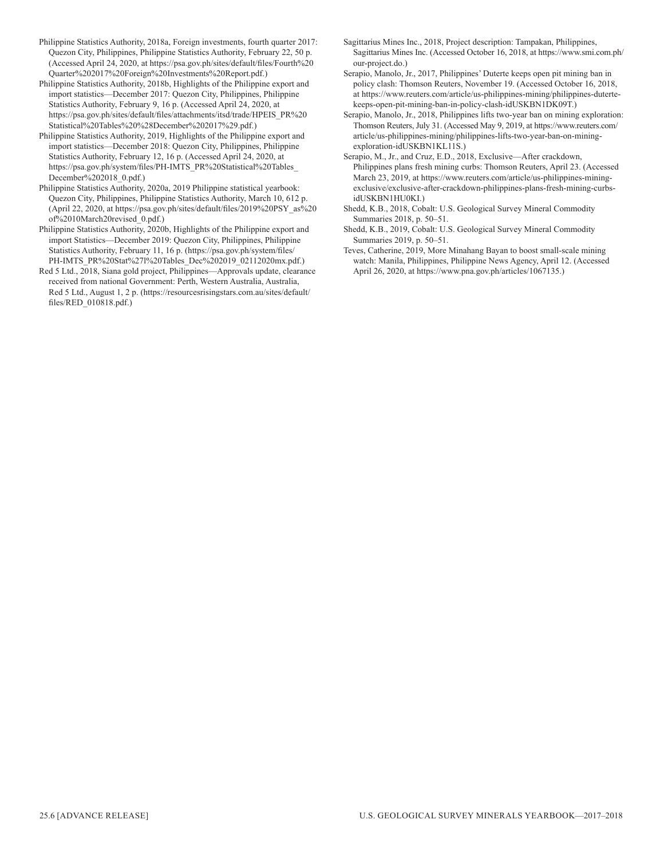- Philippine Statistics Authority, 2018a, Foreign investments, fourth quarter 2017: Quezon City, Philippines, Philippine Statistics Authority, February 22, 50 p. (Accessed April 24, 2020, at https://psa.gov.ph/sites/default/files/Fourth%20 Quarter%202017%20Foreign%20Investments%20Report.pdf.)
- Philippine Statistics Authority, 2018b, Highlights of the Philippine export and import statistics—December 2017: Quezon City, Philippines, Philippine Statistics Authority, February 9, 16 p. (Accessed April 24, 2020, at https://psa.gov.ph/sites/default/files/attachments/itsd/trade/HPEIS\_PR%20 Statistical%20Tables%20%28December%202017%29.pdf.)
- Philippine Statistics Authority, 2019, Highlights of the Philippine export and import statistics—December 2018: Quezon City, Philippines, Philippine Statistics Authority, February 12, 16 p. (Accessed April 24, 2020, at https://psa.gov.ph/system/files/PH-IMTS\_PR%20Statistical%20Tables\_ December%202018\_0.pdf.)
- Philippine Statistics Authority, 2020a, 2019 Philippine statistical yearbook: Quezon City, Philippines, Philippine Statistics Authority, March 10, 612 p. (April 22, 2020, at https://psa.gov.ph/sites/default/files/2019%20PSY\_as%20 of%2010March20revised\_0.pdf.)
- Philippine Statistics Authority, 2020b, Highlights of the Philippine export and import Statistics—December 2019: Quezon City, Philippines, Philippine Statistics Authority, February 11, 16 p. (https://psa.gov.ph/system/files/ PH-IMTS\_PR%20Stat%27l%20Tables\_Dec%202019\_02112020mx.pdf.)
- Red 5 Ltd., 2018, Siana gold project, Philippines—Approvals update, clearance received from national Government: Perth, Western Australia, Australia, Red 5 Ltd., August 1, 2 p. (https://resourcesrisingstars.com.au/sites/default/ files/RED\_010818.pdf.)
- Sagittarius Mines Inc., 2018, Project description: Tampakan, Philippines, Sagittarius Mines Inc. (Accessed October 16, 2018, at https://www.smi.com.ph/ our-project.do.)
- Serapio, Manolo, Jr., 2017, Philippines' Duterte keeps open pit mining ban in policy clash: Thomson Reuters, November 19. (Accessed October 16, 2018, at https://www.reuters.com/article/us-philippines-mining/philippines-dutertekeeps-open-pit-mining-ban-in-policy-clash-idUSKBN1DK09T.)
- Serapio, Manolo, Jr., 2018, Philippines lifts two-year ban on mining exploration: Thomson Reuters, July 31. (Accessed May 9, 2019, at https://www.reuters.com/ article/us-philippines-mining/philippines-lifts-two-year-ban-on-miningexploration-idUSKBN1KL11S.)
- Serapio, M., Jr., and Cruz, E.D., 2018, Exclusive—After crackdown, Philippines plans fresh mining curbs: Thomson Reuters, April 23. (Accessed March 23, 2019, at https://www.reuters.com/article/us-philippines-miningexclusive/exclusive-after-crackdown-philippines-plans-fresh-mining-curbsidUSKBN1HU0KI.)
- Shedd, K.B., 2018, Cobalt: U.S. Geological Survey Mineral Commodity Summaries 2018, p. 50–51.
- Shedd, K.B., 2019, Cobalt: U.S. Geological Survey Mineral Commodity Summaries 2019, p. 50–51.
- Teves, Catherine, 2019, More Minahang Bayan to boost small-scale mining watch: Manila, Philippines, Philippine News Agency, April 12. (Accessed April 26, 2020, at https://www.pna.gov.ph/articles/1067135.)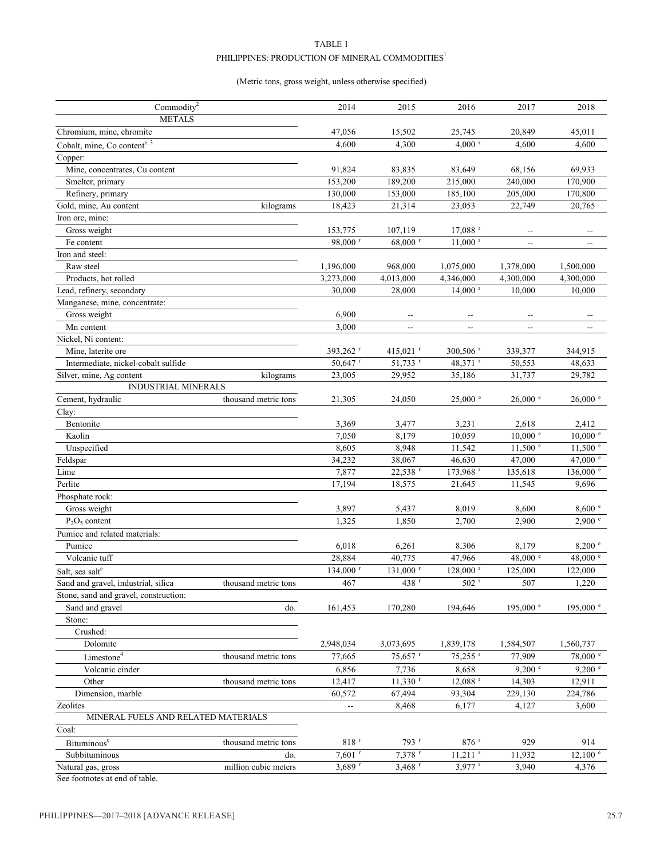#### TABLE 1 PHILIPPINES: PRODUCTION OF MINERAL COMMODITIES $^{\rm l}$

#### (Metric tons, gross weight, unless otherwise specified)

| Commodity <sup>2</sup>                |                      | 2014                     | 2015                     | 2016                     | 2017                                                | 2018                     |
|---------------------------------------|----------------------|--------------------------|--------------------------|--------------------------|-----------------------------------------------------|--------------------------|
| <b>METALS</b>                         |                      |                          |                          |                          |                                                     |                          |
| Chromium, mine, chromite              |                      | 47,056                   | 15,502                   | 25,745                   | 20,849                                              | 45,011                   |
| Cobalt, mine, Co contente, 3          |                      | 4,600                    | 4,300                    | $4,000$ <sup>r</sup>     | 4,600                                               | 4,600                    |
| Copper:                               |                      |                          |                          |                          |                                                     |                          |
| Mine, concentrates, Cu content        |                      | 91,824                   | 83,835                   | 83,649                   | 68,156                                              | 69,933                   |
| Smelter, primary                      |                      | 153,200                  | 189,200                  | 215,000                  | 240,000                                             | 170,900                  |
| Refinery, primary                     |                      | 130,000                  | 153,000                  | 185,100                  | 205,000                                             | 170,800                  |
| Gold, mine, Au content                | kilograms            | 18,423                   | 21,314                   | 23,053                   | 22,749                                              | 20,765                   |
| Iron ore, mine:                       |                      |                          |                          |                          |                                                     |                          |
| Gross weight                          |                      | 153,775                  | 107,119                  | $17,088$ <sup>r</sup>    | $\hspace{0.05cm} -\hspace{0.05cm} -\hspace{0.05cm}$ | --                       |
| Fe content                            |                      | 98,000 r                 | 68,000 r                 | $11,000$ <sup>r</sup>    | $\overline{\phantom{a}}$                            | --                       |
| Iron and steel:                       |                      |                          |                          |                          |                                                     |                          |
| Raw steel                             |                      | 1,196,000                | 968,000                  | 1,075,000                | 1,378,000                                           | 1,500,000                |
| Products, hot rolled                  |                      | 3,273,000                | 4,013,000                | 4,346,000                | 4,300,000                                           | 4,300,000                |
| Lead, refinery, secondary             |                      | 30,000                   | 28,000                   | $14,000$ <sup>r</sup>    | 10,000                                              | 10,000                   |
| Manganese, mine, concentrate:         |                      |                          |                          |                          |                                                     |                          |
| Gross weight                          |                      | 6,900                    | $\overline{\phantom{m}}$ | $\overline{\phantom{a}}$ | $\overline{\phantom{m}}$                            | --                       |
| Mn content                            |                      | 3,000                    | $\overline{\phantom{a}}$ | $\overline{\phantom{a}}$ | $\overline{\phantom{a}}$                            | $\overline{\phantom{a}}$ |
| Nickel, Ni content:                   |                      |                          |                          |                          |                                                     |                          |
| Mine, laterite ore                    |                      | 393,262 <sup>r</sup>     | 415,021 $^{\rm r}$       | $300,506$ <sup>r</sup>   | 339,377                                             | 344,915                  |
| Intermediate, nickel-cobalt sulfide   |                      | 50,647 r                 | 51,733 r                 | 48,371 r                 | 50,553                                              | 48,633                   |
| Silver, mine, Ag content              | kilograms            | 23,005                   | 29,952                   | 35,186                   | 31,737                                              | 29,782                   |
| <b>INDUSTRIAL MINERALS</b>            |                      |                          |                          |                          |                                                     |                          |
| Cement, hydraulic                     | thousand metric tons | 21,305                   | 24,050                   | 25,000 °                 | $26,000$ $\degree$                                  | $26,000$ $\degree$       |
| Clay:                                 |                      |                          |                          |                          |                                                     |                          |
| Bentonite                             |                      | 3,369                    | 3,477                    | 3,231                    | 2,618                                               | 2,412                    |
| Kaolin                                |                      | 7,050                    | 8,179                    | 10,059                   | $10,000$ $e$                                        | $10,000$ $e$             |
| Unspecified                           |                      | 8,605                    | 8,948                    | 11,542                   | $11,500$ $e$                                        | $11,500$ $\degree$       |
| Feldspar                              |                      | 34,232                   | 38,067                   | 46,630                   | 47,000                                              | 47,000 $^{\circ}$        |
| Lime                                  |                      | 7,877                    | 22,538 r                 | 173,968 r                | 135,618                                             | 136,000 e                |
| Perlite                               |                      | 17,194                   | 18,575                   | 21,645                   | 11,545                                              | 9,696                    |
| Phosphate rock:                       |                      |                          |                          |                          |                                                     |                          |
| Gross weight                          |                      | 3,897                    | 5,437                    | 8,019                    | 8,600                                               | 8,600 °                  |
| $P_2O_5$ content                      |                      | 1,325                    | 1,850                    | 2,700                    | 2,900                                               | 2,900 °                  |
| Pumice and related materials:         |                      |                          |                          |                          |                                                     |                          |
| Pumice                                |                      | 6,018                    | 6,261                    | 8,306                    | 8,179                                               | 8,200 °                  |
| Volcanic tuff                         |                      | 28,884                   | 40,775                   | 47,966                   | 48,000 $^{\circ}$                                   | 48,000 $^{\circ}$        |
| Salt, sea salt <sup>e</sup>           |                      | 134,000 r                | $131,000$ <sup>r</sup>   | $128,000$ <sup>r</sup>   | 125,000                                             | 122,000                  |
| Sand and gravel, industrial, silica   | thousand metric tons | 467                      | $438$ $^{\rm r}$         | $502$ $^{\rm r}$         | 507                                                 | 1,220                    |
| Stone, sand and gravel, construction: |                      |                          |                          |                          |                                                     |                          |
| Sand and gravel                       | do.                  | 161,453                  | 170,280                  | 194,646                  | 195,000 $^{\circ}$                                  | 195,000 $^{\circ}$       |
| Stone:                                |                      |                          |                          |                          |                                                     |                          |
| Crushed:                              |                      |                          |                          |                          |                                                     |                          |
| Dolomite                              |                      | 2,948,034                | 3,073,695                | 1,839,178                | 1,584,507                                           | 1,560,737                |
| $Limes$                               | thousand metric tons | 77,665                   | $75,657$ <sup>r</sup>    | $75,255$ <sup>r</sup>    | 77,909                                              | 78,000 °                 |
| Volcanic cinder                       |                      | 6,856                    | 7,736                    | 8,658                    | 9,200 °                                             | 9,200 °                  |
|                                       |                      |                          |                          |                          |                                                     |                          |
| Other                                 | thousand metric tons | 12,417                   | $11,330$ <sup>r</sup>    | $12,088$ <sup>r</sup>    | 14,303                                              | 12,911                   |
| Dimension, marble<br>Zeolites         |                      | 60,572                   | 67,494                   | 93,304                   | 229,130                                             | 224,786                  |
| MINERAL FUELS AND RELATED MATERIALS   |                      | $\overline{\phantom{a}}$ | 8,468                    | 6,177                    | 4,127                                               | 3,600                    |
|                                       |                      |                          |                          |                          |                                                     |                          |
| Coal:                                 |                      |                          |                          |                          |                                                     |                          |
| Bituminous <sup>e</sup>               | thousand metric tons | $818$ <sup>r</sup>       | 793 <sup>r</sup>         | $876$ <sup>r</sup>       | 929                                                 | 914                      |
| Subbituminous                         | do.                  | $7,601$ <sup>r</sup>     | 7,378 <sup>r</sup>       | $11,211$ <sup>r</sup>    | 11,932                                              | $12,100$ $\degree$       |
| Natural gas, gross                    | million cubic meters | $3,689$ <sup>r</sup>     | $3,468$ <sup>r</sup>     | $3,977$ <sup>r</sup>     | 3,940                                               | 4,376                    |

See footnotes at end of table.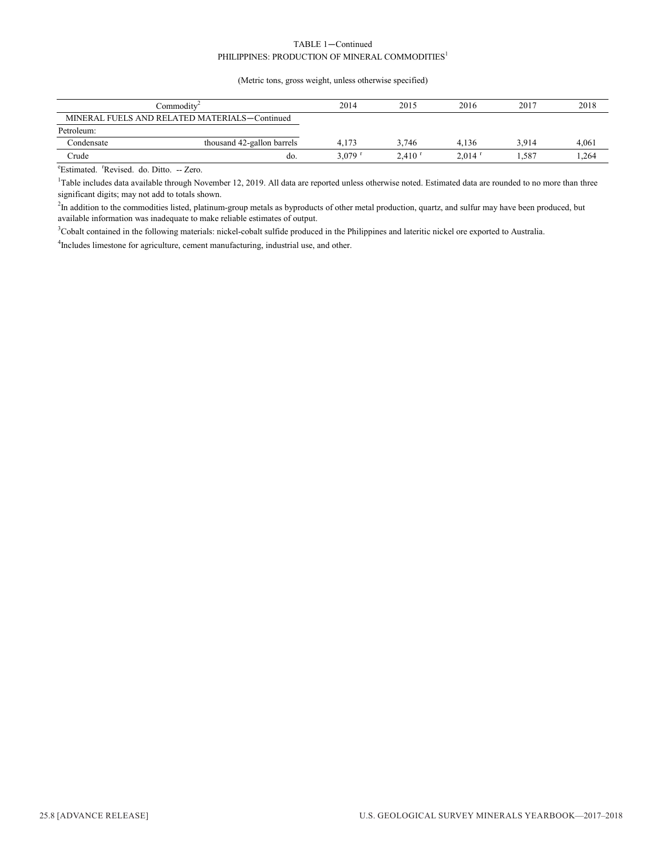#### TABLE 1—Continued PHILIPPINES: PRODUCTION OF MINERAL COMMODITIES<sup>1</sup>

#### (Metric tons, gross weight, unless otherwise specified)

| Commoditv <sup>2</sup> |                                               | 2014                 | 2015                 | 2016                 | 2017  | 2018  |
|------------------------|-----------------------------------------------|----------------------|----------------------|----------------------|-------|-------|
|                        | MINERAL FUELS AND RELATED MATERIALS-Continued |                      |                      |                      |       |       |
| Petroleum:             |                                               |                      |                      |                      |       |       |
| Condensate             | thousand 42-gallon barrels                    | 4.173                | 3.746                | 4.136                | 3.914 | 4.061 |
| Crude                  | do.                                           | $3.079$ <sup>r</sup> | $2.410$ <sup>r</sup> | $2.014$ <sup>r</sup> | 587،، | 1,264 |

<sup>e</sup>Estimated. <sup>r</sup>Revised. do. Ditto. -- Zero.

<sup>1</sup>Table includes data available through November 12, 2019. All data are reported unless otherwise noted. Estimated data are rounded to no more than three significant digits; may not add to totals shown.

 ${}^{2}$ In addition to the commodities listed, platinum-group metals as byproducts of other metal production, quartz, and sulfur may have been produced, but available information was inadequate to make reliable estimates of output.

<sup>3</sup>Cobalt contained in the following materials: nickel-cobalt sulfide produced in the Philippines and lateritic nickel ore exported to Australia.

<sup>4</sup>Includes limestone for agriculture, cement manufacturing, industrial use, and other.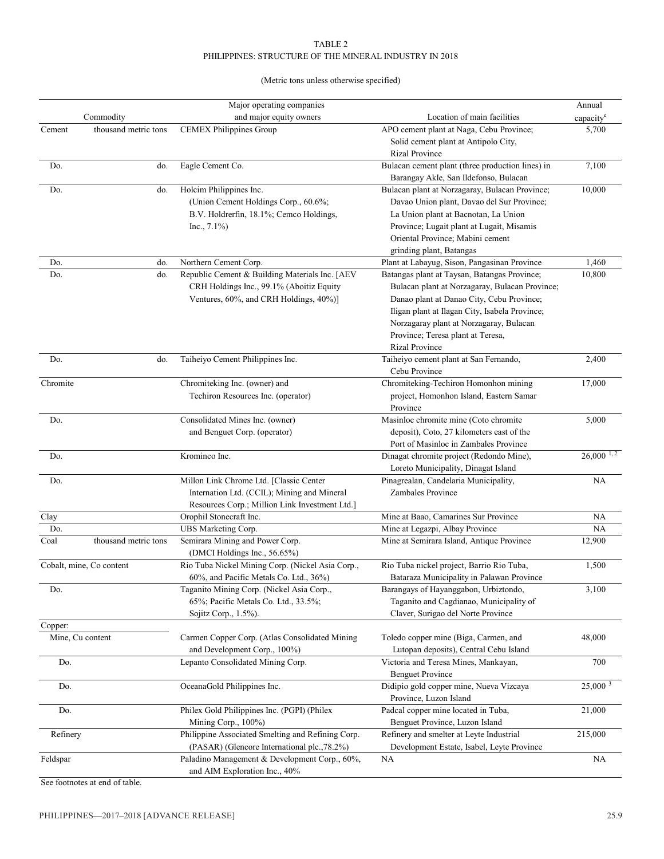#### TABLE 2 PHILIPPINES: STRUCTURE OF THE MINERAL INDUSTRY IN 2018

#### (Metric tons unless otherwise specified)

|                             |                          | Major operating companies                                                                                                                |                                                                                                                                                                                                                                                                                                 | Annual                  |
|-----------------------------|--------------------------|------------------------------------------------------------------------------------------------------------------------------------------|-------------------------------------------------------------------------------------------------------------------------------------------------------------------------------------------------------------------------------------------------------------------------------------------------|-------------------------|
|                             | Commodity                | and major equity owners                                                                                                                  | Location of main facilities                                                                                                                                                                                                                                                                     | capacity <sup>e</sup>   |
| Cement                      | thousand metric tons     | <b>CEMEX Philippines Group</b>                                                                                                           | APO cement plant at Naga, Cebu Province;<br>Solid cement plant at Antipolo City,<br><b>Rizal Province</b>                                                                                                                                                                                       | 5,700                   |
| Do.                         | do.                      | Eagle Cement Co.                                                                                                                         | Bulacan cement plant (three production lines) in<br>Barangay Akle, San Ildefonso, Bulacan                                                                                                                                                                                                       | 7,100                   |
| Do.                         | do.                      | Holcim Philippines Inc.<br>(Union Cement Holdings Corp., 60.6%;<br>B.V. Holdrerfin, 18.1%; Cemco Holdings,<br>$Inc., 7.1\%)$             | Bulacan plant at Norzagaray, Bulacan Province;<br>Davao Union plant, Davao del Sur Province;<br>La Union plant at Bacnotan, La Union<br>Province; Lugait plant at Lugait, Misamis<br>Oriental Province; Mabini cement<br>grinding plant, Batangas                                               | 10,000                  |
| Do.                         | do.                      | Northern Cement Corp.                                                                                                                    | Plant at Labayug, Sison, Pangasinan Province                                                                                                                                                                                                                                                    | 1,460                   |
| Do.                         | do.                      | Republic Cement & Building Materials Inc. [AEV<br>CRH Holdings Inc., 99.1% (Aboitiz Equity<br>Ventures, 60%, and CRH Holdings, 40%)]     | Batangas plant at Taysan, Batangas Province;<br>Bulacan plant at Norzagaray, Bulacan Province;<br>Danao plant at Danao City, Cebu Province;<br>Iligan plant at Ilagan City, Isabela Province;<br>Norzagaray plant at Norzagaray, Bulacan<br>Province; Teresa plant at Teresa,<br>Rizal Province | 10,800                  |
| Do.                         | do.                      | Taiheiyo Cement Philippines Inc.                                                                                                         | Taiheiyo cement plant at San Fernando,<br>Cebu Province                                                                                                                                                                                                                                         | 2,400                   |
| Chromite                    |                          | Chromiteking Inc. (owner) and<br>Techiron Resources Inc. (operator)                                                                      | Chromiteking-Techiron Homonhon mining<br>project, Homonhon Island, Eastern Samar<br>Province                                                                                                                                                                                                    | 17,000                  |
| Do.                         |                          | Consolidated Mines Inc. (owner)<br>and Benguet Corp. (operator)                                                                          | Masinloc chromite mine (Coto chromite<br>deposit), Coto, 27 kilometers east of the<br>Port of Masinloc in Zambales Province                                                                                                                                                                     | 5,000                   |
| Do.                         |                          | Krominco Inc.                                                                                                                            | Dinagat chromite project (Redondo Mine),<br>Loreto Municipality, Dinagat Island                                                                                                                                                                                                                 | $26,000$ <sup>1,2</sup> |
| Do.                         |                          | Millon Link Chrome Ltd. [Classic Center<br>Internation Ltd. (CCIL); Mining and Mineral<br>Resources Corp.; Million Link Investment Ltd.] | Pinagrealan, Candelaria Municipality,<br>Zambales Province                                                                                                                                                                                                                                      | <b>NA</b>               |
| Clay                        |                          | Orophil Stonecraft Inc.                                                                                                                  | Mine at Baao, Camarines Sur Province                                                                                                                                                                                                                                                            | <b>NA</b>               |
| Do.                         |                          | UBS Marketing Corp.                                                                                                                      | Mine at Legazpi, Albay Province                                                                                                                                                                                                                                                                 | <b>NA</b>               |
| Coal                        | thousand metric tons     | Semirara Mining and Power Corp.<br>(DMCI Holdings Inc., 56.65%)                                                                          | Mine at Semirara Island, Antique Province                                                                                                                                                                                                                                                       | 12,900                  |
|                             | Cobalt, mine, Co content | Rio Tuba Nickel Mining Corp. (Nickel Asia Corp.,<br>60%, and Pacific Metals Co. Ltd., 36%)                                               | Rio Tuba nickel project, Barrio Rio Tuba,<br>Bataraza Municipality in Palawan Province                                                                                                                                                                                                          | 1,500                   |
| Do.                         |                          | Taganito Mining Corp. (Nickel Asia Corp.,<br>65%; Pacific Metals Co. Ltd., 33.5%;<br>Sojitz Corp., 1.5%).                                | Barangays of Hayanggabon, Urbiztondo,<br>Taganito and Cagdianao, Municipality of<br>Claver, Surigao del Norte Province                                                                                                                                                                          | 3,100                   |
| Copper:<br>Mine, Cu content |                          | Carmen Copper Corp. (Atlas Consolidated Mining<br>and Development Corp., 100%)                                                           | Toledo copper mine (Biga, Carmen, and<br>Lutopan deposits), Central Cebu Island                                                                                                                                                                                                                 | 48,000                  |
| Do.                         |                          | Lepanto Consolidated Mining Corp.                                                                                                        | Victoria and Teresa Mines, Mankayan,<br><b>Benguet Province</b>                                                                                                                                                                                                                                 | 700                     |
| Do.                         |                          | OceanaGold Philippines Inc.                                                                                                              | Didipio gold copper mine, Nueva Vizcaya<br>Province, Luzon Island                                                                                                                                                                                                                               | 25,000 <sup>3</sup>     |
| Do.                         |                          | Philex Gold Philippines Inc. (PGPI) (Philex<br>Mining Corp., 100%)                                                                       | Padcal copper mine located in Tuba,<br>Benguet Province, Luzon Island                                                                                                                                                                                                                           | 21,000                  |
| Refinery                    |                          | Philippine Associated Smelting and Refining Corp.<br>(PASAR) (Glencore International plc., 78.2%)                                        | Refinery and smelter at Leyte Industrial<br>Development Estate, Isabel, Leyte Province                                                                                                                                                                                                          | 215,000                 |
| Feldspar                    |                          | Paladino Management & Development Corp., 60%,<br>and AIM Exploration Inc., 40%                                                           | <b>NA</b>                                                                                                                                                                                                                                                                                       | <b>NA</b>               |

See footnotes at end of table.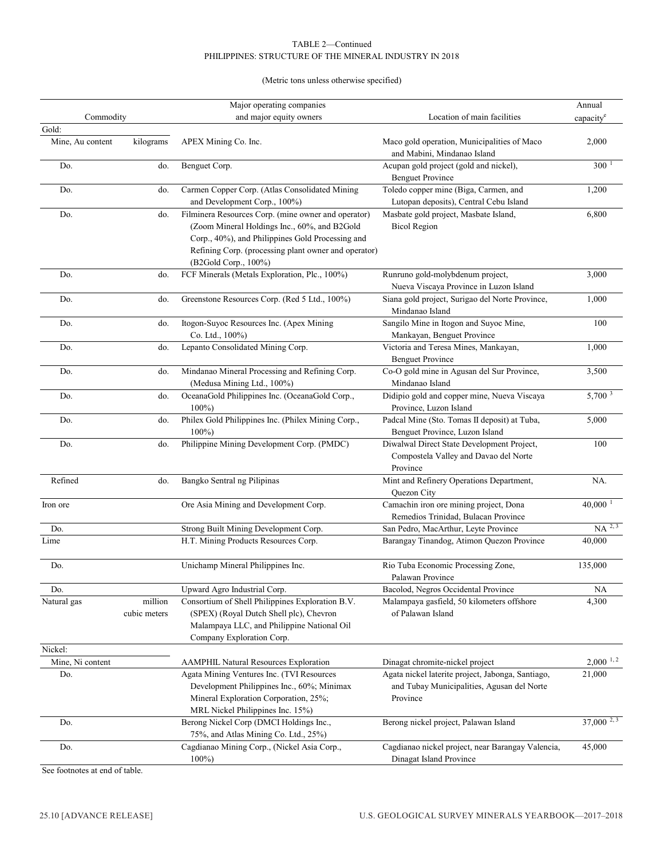#### TABLE 2—Continued PHILIPPINES: STRUCTURE OF THE MINERAL INDUSTRY IN 2018

#### (Metric tons unless otherwise specified)

|                           |                         | Major operating companies                                                                                                                                                                                                               |                                                                                                             | Annual                 |
|---------------------------|-------------------------|-----------------------------------------------------------------------------------------------------------------------------------------------------------------------------------------------------------------------------------------|-------------------------------------------------------------------------------------------------------------|------------------------|
| Commodity                 |                         | and major equity owners                                                                                                                                                                                                                 | Location of main facilities                                                                                 | capacity <sup>e</sup>  |
| Gold:<br>Mine, Au content | kilograms               | APEX Mining Co. Inc.                                                                                                                                                                                                                    | Maco gold operation, Municipalities of Maco                                                                 | 2,000                  |
| Do.                       | do.                     | Benguet Corp.                                                                                                                                                                                                                           | and Mabini, Mindanao Island<br>Acupan gold project (gold and nickel),<br><b>Benguet Province</b>            | 300                    |
| Do.                       | do.                     | Carmen Copper Corp. (Atlas Consolidated Mining                                                                                                                                                                                          | Toledo copper mine (Biga, Carmen, and                                                                       | 1,200                  |
|                           |                         | and Development Corp., 100%)                                                                                                                                                                                                            | Lutopan deposits), Central Cebu Island                                                                      |                        |
| Do.                       | do.                     | Filminera Resources Corp. (mine owner and operator)<br>(Zoom Mineral Holdings Inc., 60%, and B2Gold<br>Corp., 40%), and Philippines Gold Processing and<br>Refining Corp. (processing plant owner and operator)<br>(B2Gold Corp., 100%) | Masbate gold project, Masbate Island,<br><b>Bicol Region</b>                                                | 6,800                  |
| Do.                       | do.                     | FCF Minerals (Metals Exploration, Plc., 100%)                                                                                                                                                                                           | Runruno gold-molybdenum project,<br>Nueva Viscaya Province in Luzon Island                                  | 3,000                  |
| Do.                       | do.                     | Greenstone Resources Corp. (Red 5 Ltd., 100%)                                                                                                                                                                                           | Siana gold project, Surigao del Norte Province,<br>Mindanao Island                                          | 1,000                  |
| Do.                       | do.                     | Itogon-Suyoc Resources Inc. (Apex Mining<br>Co. Ltd., 100%)                                                                                                                                                                             | Sangilo Mine in Itogon and Suyoc Mine,<br>Mankayan, Benguet Province                                        | 100                    |
| Do.                       | do.                     | Lepanto Consolidated Mining Corp.                                                                                                                                                                                                       | Victoria and Teresa Mines, Mankayan,<br><b>Benguet Province</b>                                             | 1,000                  |
| Do.                       | do.                     | Mindanao Mineral Processing and Refining Corp.<br>(Medusa Mining Ltd., 100%)                                                                                                                                                            | Co-O gold mine in Agusan del Sur Province,<br>Mindanao Island                                               | 3,500                  |
| Do.                       | do.                     | OceanaGold Philippines Inc. (OceanaGold Corp.,<br>$100\%$                                                                                                                                                                               | Didipio gold and copper mine, Nueva Viscaya<br>Province, Luzon Island                                       | 5,700 <sup>3</sup>     |
| Do.                       | do.                     | Philex Gold Philippines Inc. (Philex Mining Corp.,<br>$100\%$                                                                                                                                                                           | Padcal Mine (Sto. Tomas II deposit) at Tuba,<br>Benguet Province, Luzon Island                              | 5,000                  |
| Do.                       | do.                     | Philippine Mining Development Corp. (PMDC)                                                                                                                                                                                              | Diwalwal Direct State Development Project,<br>Compostela Valley and Davao del Norte<br>Province             | 100                    |
| Refined                   | do.                     | Bangko Sentral ng Pilipinas                                                                                                                                                                                                             | Mint and Refinery Operations Department,<br>Quezon City                                                     | NA.                    |
| Iron ore                  |                         | Ore Asia Mining and Development Corp.                                                                                                                                                                                                   | Camachin iron ore mining project, Dona<br>Remedios Trinidad, Bulacan Province                               | $40,000$ <sup>1</sup>  |
| Do.                       |                         | Strong Built Mining Development Corp.                                                                                                                                                                                                   | San Pedro, MacArthur, Leyte Province                                                                        | $NA$ <sup>2, 3</sup>   |
| Lime                      |                         | H.T. Mining Products Resources Corp.                                                                                                                                                                                                    | Barangay Tinandog, Atimon Quezon Province                                                                   | 40,000                 |
| Do.                       |                         | Unichamp Mineral Philippines Inc.                                                                                                                                                                                                       | Rio Tuba Economic Processing Zone,<br>Palawan Province                                                      | 135,000                |
| Do.                       |                         | Upward Agro Industrial Corp.                                                                                                                                                                                                            | Bacolod, Negros Occidental Province                                                                         | NA                     |
| Natural gas               | million<br>cubic meters | Consortium of Shell Philippines Exploration B.V.<br>(SPEX) (Royal Dutch Shell plc), Chevron<br>Malampaya LLC, and Philippine National Oil<br>Company Exploration Corp.                                                                  | Malampaya gasfield, 50 kilometers offshore<br>of Palawan Island                                             | 4,300                  |
| Nickel:                   |                         |                                                                                                                                                                                                                                         |                                                                                                             |                        |
| Mine, Ni content          |                         | <b>AAMPHIL Natural Resources Exploration</b>                                                                                                                                                                                            | Dinagat chromite-nickel project                                                                             | $2,000$ <sup>1,2</sup> |
| Do.                       |                         | Agata Mining Ventures Inc. (TVI Resources<br>Development Philippines Inc., 60%; Minimax<br>Mineral Exploration Corporation, 25%;<br>MRL Nickel Philippines Inc. 15%)                                                                    | Agata nickel laterite project, Jabonga, Santiago,<br>and Tubay Municipalities, Agusan del Norte<br>Province | 21,000                 |
| Do.                       |                         | Berong Nickel Corp (DMCI Holdings Inc.,<br>75%, and Atlas Mining Co. Ltd., 25%)                                                                                                                                                         | Berong nickel project, Palawan Island                                                                       | $37,000^{2,3}$         |
| Do.                       |                         | Cagdianao Mining Corp., (Nickel Asia Corp.,<br>$100\%$                                                                                                                                                                                  | Cagdianao nickel project, near Barangay Valencia,<br>Dinagat Island Province                                | 45,000                 |

See footnotes at end of table.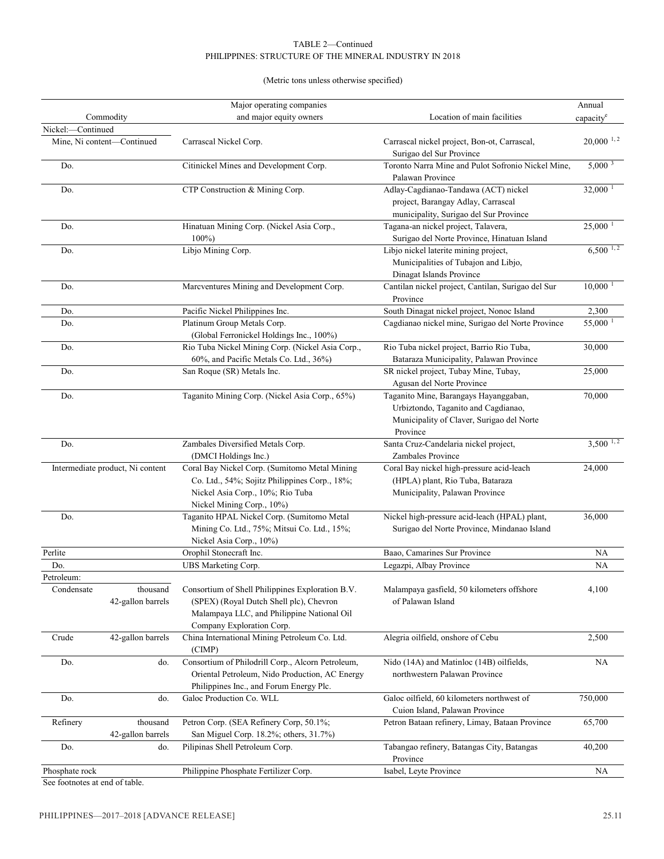#### TABLE 2—Continued PHILIPPINES: STRUCTURE OF THE MINERAL INDUSTRY IN 2018

#### (Metric tons unless otherwise specified)

|                                                           | Major operating companies                                                                                                                                              |                                                                                                                                       | Annual                  |
|-----------------------------------------------------------|------------------------------------------------------------------------------------------------------------------------------------------------------------------------|---------------------------------------------------------------------------------------------------------------------------------------|-------------------------|
| Commodity                                                 | and major equity owners                                                                                                                                                | Location of main facilities                                                                                                           | capacity                |
| Nickel:-Continued<br>Mine, Ni content-Continued           | Carrascal Nickel Corp.                                                                                                                                                 | Carrascal nickel project, Bon-ot, Carrascal,<br>Surigao del Sur Province                                                              | $20,000$ <sup>1,2</sup> |
| Do.                                                       | Citinickel Mines and Development Corp.                                                                                                                                 | Toronto Narra Mine and Pulot Sofronio Nickel Mine,<br>Palawan Province                                                                | $5,000^{3}$             |
| Do.                                                       | CTP Construction & Mining Corp.                                                                                                                                        | Adlay-Cagdianao-Tandawa (ACT) nickel<br>project, Barangay Adlay, Carrascal<br>municipality, Surigao del Sur Province                  | $32,000$ <sup>1</sup>   |
| Do.                                                       | Hinatuan Mining Corp. (Nickel Asia Corp.,<br>$100\%$                                                                                                                   | Tagana-an nickel project, Talavera,<br>Surigao del Norte Province, Hinatuan Island                                                    | $25,000$ <sup>1</sup>   |
| Do.                                                       | Libjo Mining Corp.                                                                                                                                                     | Libjo nickel laterite mining project,<br>Municipalities of Tubajon and Libjo,<br>Dinagat Islands Province                             | $6,500^{1,2}$           |
| Do.                                                       | Marcventures Mining and Development Corp.                                                                                                                              | Cantilan nickel project, Cantilan, Surigao del Sur<br>Province                                                                        | 10,000                  |
| Do.                                                       | Pacific Nickel Philippines Inc.                                                                                                                                        | South Dinagat nickel project, Nonoc Island                                                                                            | 2,300                   |
| Do.                                                       | Platinum Group Metals Corp.<br>(Global Ferronickel Holdings Inc., 100%)                                                                                                | Cagdianao nickel mine, Surigao del Norte Province                                                                                     | 55,000                  |
| Do.                                                       | Rio Tuba Nickel Mining Corp. (Nickel Asia Corp.,<br>60%, and Pacific Metals Co. Ltd., 36%)                                                                             | Rio Tuba nickel project, Barrio Rio Tuba,<br>Bataraza Municipality, Palawan Province                                                  | 30,000                  |
| Do.                                                       | San Roque (SR) Metals Inc.                                                                                                                                             | SR nickel project, Tubay Mine, Tubay,<br>Agusan del Norte Province                                                                    | 25,000                  |
| Do.                                                       | Taganito Mining Corp. (Nickel Asia Corp., 65%)                                                                                                                         | Taganito Mine, Barangays Hayanggaban,<br>Urbiztondo, Taganito and Cagdianao,<br>Municipality of Claver, Surigao del Norte<br>Province | 70,000                  |
| Do.                                                       | Zambales Diversified Metals Corp.<br>(DMCI Holdings Inc.)                                                                                                              | Santa Cruz-Candelaria nickel project,<br>Zambales Province                                                                            | $3,500$ <sup>1,2</sup>  |
| Intermediate product, Ni content                          | Coral Bay Nickel Corp. (Sumitomo Metal Mining<br>Co. Ltd., 54%; Sojitz Philippines Corp., 18%;<br>Nickel Asia Corp., 10%; Rio Tuba<br>Nickel Mining Corp., 10%)        | Coral Bay nickel high-pressure acid-leach<br>(HPLA) plant, Rio Tuba, Bataraza<br>Municipality, Palawan Province                       | 24,000                  |
| Do.                                                       | Taganito HPAL Nickel Corp. (Sumitomo Metal<br>Mining Co. Ltd., 75%; Mitsui Co. Ltd., 15%;<br>Nickel Asia Corp., 10%)                                                   | Nickel high-pressure acid-leach (HPAL) plant,<br>Surigao del Norte Province, Mindanao Island                                          | 36,000                  |
| Perlite                                                   | Orophil Stonecraft Inc.                                                                                                                                                | Baao, Camarines Sur Province                                                                                                          | NA                      |
| Do.                                                       | UBS Marketing Corp.                                                                                                                                                    | Legazpi, Albay Province                                                                                                               | NA                      |
| Petroleum:<br>thousand<br>Condensate<br>42-gallon barrels | Consortium of Shell Philippines Exploration B.V.<br>(SPEX) (Royal Dutch Shell plc), Chevron<br>Malampaya LLC, and Philippine National Oil<br>Company Exploration Corp. | Malampaya gasfield, 50 kilometers offshore<br>of Palawan Island                                                                       | 4,100                   |
| 42-gallon barrels<br>Crude                                | China International Mining Petroleum Co. Ltd.<br>(CIMP)                                                                                                                | Alegria oilfield, onshore of Cebu                                                                                                     | 2,500                   |
| Do.<br>do.                                                | Consortium of Philodrill Corp., Alcorn Petroleum,<br>Oriental Petroleum, Nido Production, AC Energy<br>Philippines Inc., and Forum Energy Plc.                         | Nido (14A) and Matinloc (14B) oilfields,<br>northwestern Palawan Province                                                             | NA                      |
| Do.<br>do.                                                | Galoc Production Co. WLL                                                                                                                                               | Galoc oilfield, 60 kilometers northwest of<br>Cuion Island, Palawan Province                                                          | 750,000                 |
| Refinery<br>thousand<br>42-gallon barrels                 | Petron Corp. (SEA Refinery Corp, 50.1%;<br>San Miguel Corp. 18.2%; others, 31.7%)                                                                                      | Petron Bataan refinery, Limay, Bataan Province                                                                                        | 65,700                  |
| Do.<br>do.                                                | Pilipinas Shell Petroleum Corp.                                                                                                                                        | Tabangao refinery, Batangas City, Batangas<br>Province                                                                                | 40,200                  |
| Phosphate rock<br>See footnotes at end of table.          | Philippine Phosphate Fertilizer Corp.                                                                                                                                  | Isabel, Leyte Province                                                                                                                | NA                      |